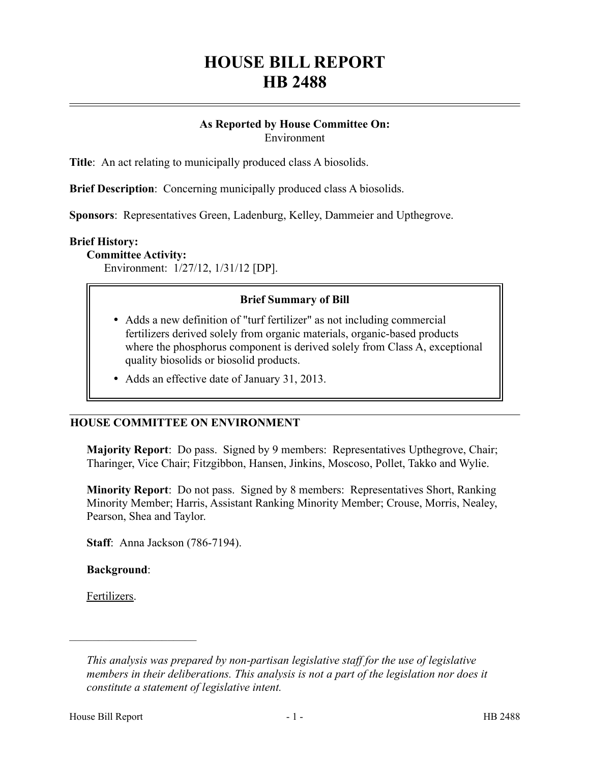# **HOUSE BILL REPORT HB 2488**

# **As Reported by House Committee On:** Environment

**Title**: An act relating to municipally produced class A biosolids.

**Brief Description**: Concerning municipally produced class A biosolids.

**Sponsors**: Representatives Green, Ladenburg, Kelley, Dammeier and Upthegrove.

## **Brief History:**

#### **Committee Activity:**

Environment: 1/27/12, 1/31/12 [DP].

# **Brief Summary of Bill**

- Adds a new definition of "turf fertilizer" as not including commercial fertilizers derived solely from organic materials, organic-based products where the phosphorus component is derived solely from Class A, exceptional quality biosolids or biosolid products.
- Adds an effective date of January 31, 2013.

## **HOUSE COMMITTEE ON ENVIRONMENT**

**Majority Report**: Do pass. Signed by 9 members: Representatives Upthegrove, Chair; Tharinger, Vice Chair; Fitzgibbon, Hansen, Jinkins, Moscoso, Pollet, Takko and Wylie.

**Minority Report**: Do not pass. Signed by 8 members: Representatives Short, Ranking Minority Member; Harris, Assistant Ranking Minority Member; Crouse, Morris, Nealey, Pearson, Shea and Taylor.

**Staff**: Anna Jackson (786-7194).

**Background**:

––––––––––––––––––––––

Fertilizers.

*This analysis was prepared by non-partisan legislative staff for the use of legislative members in their deliberations. This analysis is not a part of the legislation nor does it constitute a statement of legislative intent.*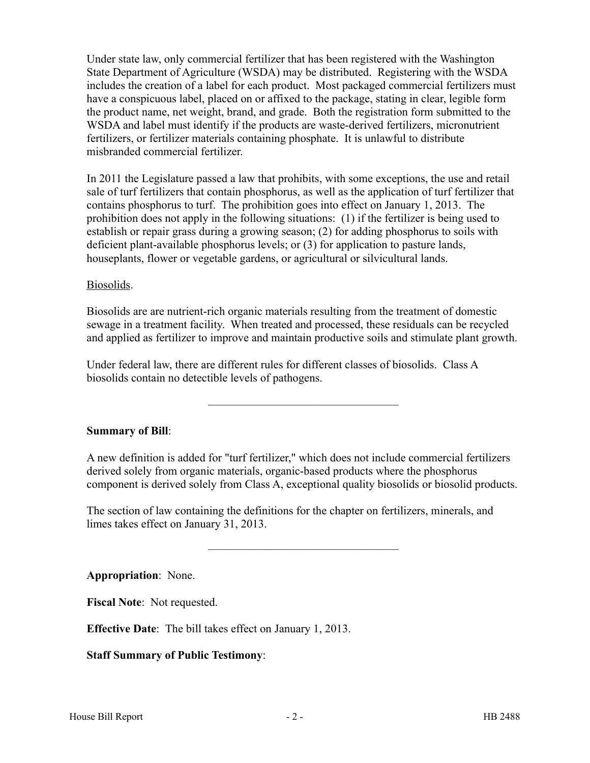Under state law, only commercial fertilizer that has been registered with the Washington State Department of Agriculture (WSDA) may be distributed. Registering with the WSDA includes the creation of a label for each product. Most packaged commercial fertilizers must have a conspicuous label, placed on or affixed to the package, stating in clear, legible form the product name, net weight, brand, and grade. Both the registration form submitted to the WSDA and label must identify if the products are waste-derived fertilizers, micronutrient fertilizers, or fertilizer materials containing phosphate. It is unlawful to distribute misbranded commercial fertilizer.

In 2011 the Legislature passed a law that prohibits, with some exceptions, the use and retail sale of turf fertilizers that contain phosphorus, as well as the application of turf fertilizer that contains phosphorus to turf. The prohibition goes into effect on January 1, 2013. The prohibition does not apply in the following situations: (1) if the fertilizer is being used to establish or repair grass during a growing season; (2) for adding phosphorus to soils with deficient plant-available phosphorus levels; or (3) for application to pasture lands, houseplants, flower or vegetable gardens, or agricultural or silvicultural lands.

# Biosolids.

Biosolids are are nutrient-rich organic materials resulting from the treatment of domestic sewage in a treatment facility. When treated and processed, these residuals can be recycled and applied as fertilizer to improve and maintain productive soils and stimulate plant growth.

Under federal law, there are different rules for different classes of biosolids. Class A biosolids contain no detectible levels of pathogens.

**Summary of Bill**:

A new definition is added for "turf fertilizer," which does not include commercial fertilizers derived solely from organic materials, organic-based products where the phosphorus component is derived solely from Class A, exceptional quality biosolids or biosolid products.

–––––––––––––––––––––––––––––––––

–––––––––––––––––––––––––––––––––

The section of law containing the definitions for the chapter on fertilizers, minerals, and limes takes effect on January 31, 2013.

**Appropriation**: None.

**Fiscal Note**: Not requested.

**Effective Date**: The bill takes effect on January 1, 2013.

**Staff Summary of Public Testimony**: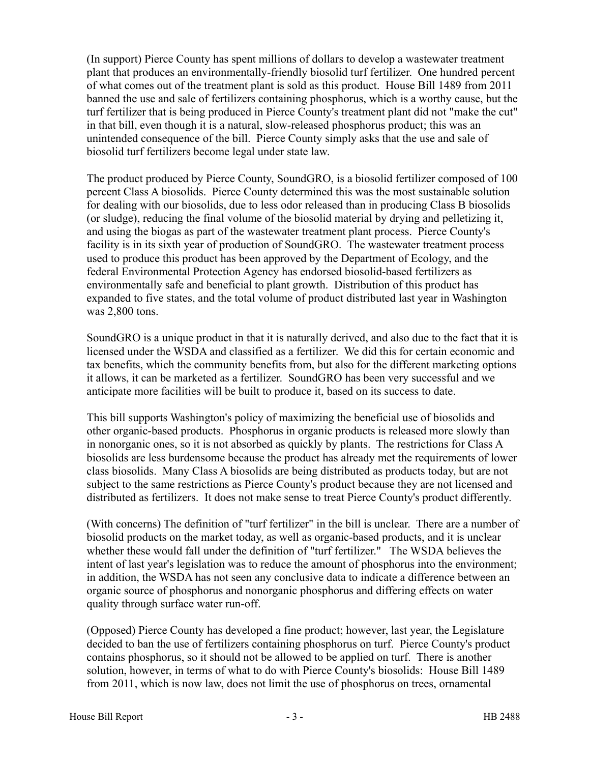(In support) Pierce County has spent millions of dollars to develop a wastewater treatment plant that produces an environmentally-friendly biosolid turf fertilizer. One hundred percent of what comes out of the treatment plant is sold as this product. House Bill 1489 from 2011 banned the use and sale of fertilizers containing phosphorus, which is a worthy cause, but the turf fertilizer that is being produced in Pierce County's treatment plant did not "make the cut" in that bill, even though it is a natural, slow-released phosphorus product; this was an unintended consequence of the bill. Pierce County simply asks that the use and sale of biosolid turf fertilizers become legal under state law.

The product produced by Pierce County, SoundGRO, is a biosolid fertilizer composed of 100 percent Class A biosolids. Pierce County determined this was the most sustainable solution for dealing with our biosolids, due to less odor released than in producing Class B biosolids (or sludge), reducing the final volume of the biosolid material by drying and pelletizing it, and using the biogas as part of the wastewater treatment plant process. Pierce County's facility is in its sixth year of production of SoundGRO. The wastewater treatment process used to produce this product has been approved by the Department of Ecology, and the federal Environmental Protection Agency has endorsed biosolid-based fertilizers as environmentally safe and beneficial to plant growth. Distribution of this product has expanded to five states, and the total volume of product distributed last year in Washington was 2,800 tons.

SoundGRO is a unique product in that it is naturally derived, and also due to the fact that it is licensed under the WSDA and classified as a fertilizer. We did this for certain economic and tax benefits, which the community benefits from, but also for the different marketing options it allows, it can be marketed as a fertilizer. SoundGRO has been very successful and we anticipate more facilities will be built to produce it, based on its success to date.

This bill supports Washington's policy of maximizing the beneficial use of biosolids and other organic-based products. Phosphorus in organic products is released more slowly than in nonorganic ones, so it is not absorbed as quickly by plants. The restrictions for Class A biosolids are less burdensome because the product has already met the requirements of lower class biosolids. Many Class A biosolids are being distributed as products today, but are not subject to the same restrictions as Pierce County's product because they are not licensed and distributed as fertilizers. It does not make sense to treat Pierce County's product differently.

(With concerns) The definition of "turf fertilizer" in the bill is unclear. There are a number of biosolid products on the market today, as well as organic-based products, and it is unclear whether these would fall under the definition of "turf fertilizer." The WSDA believes the intent of last year's legislation was to reduce the amount of phosphorus into the environment; in addition, the WSDA has not seen any conclusive data to indicate a difference between an organic source of phosphorus and nonorganic phosphorus and differing effects on water quality through surface water run-off.

(Opposed) Pierce County has developed a fine product; however, last year, the Legislature decided to ban the use of fertilizers containing phosphorus on turf. Pierce County's product contains phosphorus, so it should not be allowed to be applied on turf. There is another solution, however, in terms of what to do with Pierce County's biosolids: House Bill 1489 from 2011, which is now law, does not limit the use of phosphorus on trees, ornamental